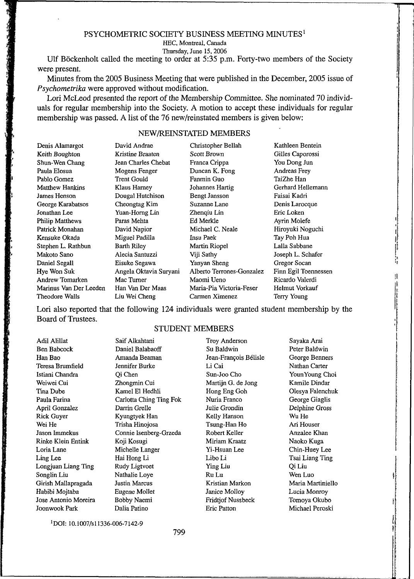#### PSYCHOMETRIC SOCIETY BUSINESS MEETING MINUTES<sup>1</sup>

HEC, Montreal, Canada

Thursday, June 15,2006

Ulf Böckenholt called the meeting to order at  $5:35$  p.m. Forty-two members of the Society were present.

Minutes from the 2005 Business Meeting that were published in the December, 2005 issue of *Psychometrika* were approved without modification.

Lori McLeod presented the report of the Membership Committee. She nominated 70 individuals for regular membership into the Society. A motion to accept these individuals for regular membership was passed. A list of the 76 new/reinstated members is given below:

## NEW/REINSTATED MEMBERS

| Denis Alamargot        | David Andrae           | Christopher Bellah        | Kathleen Bentein     |
|------------------------|------------------------|---------------------------|----------------------|
| Keith Boughton         | Kristine Braaten       | Scott Brown               | Gilles Caporossi     |
| Shun-Wen Chang         | Jean Charles Chebat    | Franca Crippa             | You Dong Jun         |
| Paula Elosua           | Mogens Fenger          | Duncan K. Fong            | Andreas Frey         |
| Pablo Gomez            | <b>Trent Gould</b>     | Fanmin Guo                | TaiZhe Han           |
| <b>Matthew Hankins</b> | Klaus Harney           | Johannes Hartig           | Gerhard Hellemann    |
| James Henson           | Dougal Hutchison       | <b>Bengt Jansson</b>      | Faisai Kadri         |
| George Karabatsos      | Cheongtag Kim          | Suzanne Lane              | Denis Larocque       |
| Jonathan Lee           | Yuan-Horng Lin         | Zhenqiu Lin               | Eric Loken           |
| Philip Matthews        | Paras Mehta            | Ed Merkle                 | Ayrin Molefe         |
| Patrick Monahan        | David Napior           | Michael C. Neale          | Hiroyuki Noguchi     |
| Kensuke Okada          | Miguel Padilla         | <b>Insu Paek</b>          | Tay Poh Hua          |
| Stephen L. Rathbun     | Barth Riley            | Martin Riopel             | Lalla Sabbane        |
| Makoto Sano            | Alecia Santuzzi        | Viji Sathy                | Joseph L. Schafer    |
| Daniel Segall          | Eisuke Segawa          | Yanyan Sheng              | Gregor Socan         |
| Hye Won Suk            | Angela Oktavia Suryani | Alberto Terrones-Gonzalez | Finn Egil Toennessen |
| Andrew Tomarken        | Mac Turner             | Maomi Ueno                | Ricardo Valerdi      |
| Marinus Van Der Leeden | Han Van Der Maas       | Maria-Pia Victoria-Feser  | Helmut Vorkauf       |
| Theodore Walls         | Liu Wei Cheng          | Carmen Ximenez            | Terry Young          |

Lori also reported that the following 124 individuals were granted student membership by the Board of Trustees.

#### STUDENT MEMBERS

Adil Alillat Ben Babcock HanBao Teresa Brumfield Istiani Chandra Weiwei Cui Tina Dube Paula Farina April Gonzalez Rick Guyer Wei He Jason Immekus Rinke Klein Entink Loria Lane Ling Lee Longjuan Liang Ting Songlin Liu Girish Mallapragada Habibi Mojtaba Jose Antonio Moreira Joonwook Park Saif Alkahtani Daniel Balabaoff Amanda Beaman Jennifer Burke Qi Chen Zhongmin Cui Kamel El Hedhli Carlotta Ching Ting Fok Darrin Grelle Kyungtyek Han Trisha Hinojosa Connie Isenberg-Grzeda Koji Kosugi Michelle Langer Hai Hong Li Rudy Ligtvoet Nathalie Loye Justin Marcus Eugene Mollet Bobby Naemi Dalia Patino Troy Anderson Su Baldwin Jean-Francois B61isle LiCai Sun-Joo Cho Martijn G. de Jong Hong Eng Goh Nuria Franco Julie Grondin Kelly Hanson Tsung-Han Ho Robert Keller Miriam Kraatz Yi-Hsuan Lee Libo Li Ying Liu RuLu Kristian Markon Janice Molloy Fridtjof Nussbeck Eric Patton Sayaka Arai Peter Baldwin George Benners Nathan Carter YounYoung Choi Kamile Dindar Olesya Falenchuk George Giaglis Delphine Gross WuHe Ari Houser Anzalee Khan Naoko Kuga Chin-Huey Lee Tsai Liang Ting QiLiu Wen Luo Maria Martiniello Lucia Monroy Tomoya Okubo Michael Peroski

DOI: 10.1007/sll336-006-7142-9

799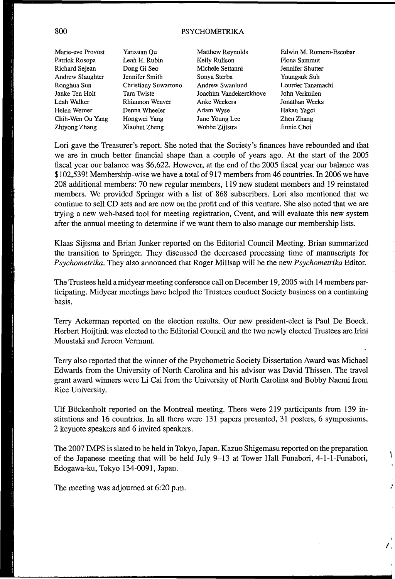### 800 PSYCHOMETRIKA

Marie-eve Provost Patrick Rosopa Richard Sejean Andrew Slaughter Ronghua Sun Janke Ten Holt Leah Walker Helen Werner Chih-Wen Ou Yang Zhiyong Zhang

Yanxuan Qu Leah H. Rubin Dong Gi Seo Jennifer Smith Christiany Suwartono Tara Twiste Rhiannon Weaver Denna Wheeler Hongwei Yang Xiaohui Zheng

Matthew Reynolds Kelly Rulison Michele Settanni Sonya Sterba Andrew Swanlund Joachim Vandekerckhove Anke Weekers Adam Wyse June Young Lee Wobbe Zijlstra

Edwin M. Romero-Escobar Fiona Sammut Jennifer Shutter Youngsuk Suh Lourder Tanamachi John Verkuilen Jonathan Weeks Hakan Yagci Zhen Zhang Jinnie Choi

Ĩ

ă.

Lori gave the Treasurer's report. She noted that the Society's finances have rebounded and that we are in much better financial shape than a couple of years ago. At the start of the 2005 fiscal year our balance was \$6,622. However, at the end of the 2005 fiscal year our balance was \$102,539! Membership-wise we have a total of 917 members from 46 countries. In 2006 we have 208 additional members: 70 new regular members, 119 new student members and 19 reinstated members. We provided Springer with a list of 868 subscribers. Lori also mentioned that we continue to sell CD sets and are now on the profit end of this venture. She also noted that we are trying a new web-based tool for meeting registration, Cvent, and will evaluate this new system after the annual meeting to determine if we want them to also manage our membership lists.

Klaas Sijtsma and Brian Junker reported on the Editorial Council Meeting. Brian summarized the transition to Springer. They discussed the decreased processing time of manuscripts for *Psychometrika.* They also announced that Roger Millsap will be the new *Psychometrika* Editor.

The Trustees held a midyear meeting conference call on December 19,2005 with 14 members participating. Midyear meetings have helped the Trustees conduct Society business on a continuing basis.

Terry Ackerman reported on the election results. Our new president-elect is Paul De Boeck. Herbert Hoijtink was elected to the Editorial Council and the two newly elected Trustees are Irini Moustaki and Jeroen Vermunt.

Terry also reported that the winner of the Psychometric Society Dissertation Award was Michael Edwards from the University of North Carolina and his advisor was David Thissen. The travel grant award winners were Li Cai from the University of North Carolina and Bobby Naemi from Rice University.

Ulf Bockenholt reported on the Montreal meeting. There were 219 participants from 139 institutions and 16 countries. In all there were 131 papers presented, 31 posters, 6 symposiums, 2 keynote speakers and 6 invited speakers.

The 2007 IMPS is slated to be held in Tokyo, Japan. Kazuo Shigemasu reported on the preparation of the Japanese meeting that will be held July 9-13 at Tower Hall Funabori, 4-1-1-Funabori, Edogawa-ku, Tokyo 134-0091, Japan.

The meeting was adjourned at 6:20 p.m.